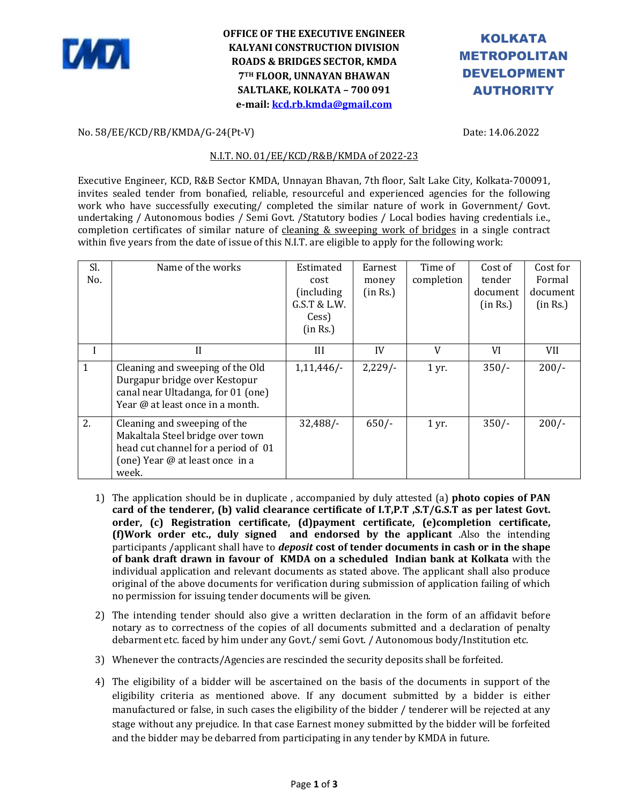

## **OFFICE OF THE EXECUTIVE ENGINEER KALYANI CONSTRUCTION DIVISION ROADS & BRIDGES SECTOR, KMDA 7TH FLOOR, UNNAYAN BHAWAN SALTLAKE, KOLKATA – 700 091 e-mail: kcd.rb.kmda@gmail.com**

# **KOLKATA METROPOLITAN DEVELOPMENT AUTHORITY**

#### No. 58/EE/KCD/RB/KMDA/G-24(Pt-V) Date: 14.06.2022

#### N.I.T. NO. 01/EE/KCD/R&B/KMDA of 2022-23

Executive Engineer, KCD, R&B Sector KMDA, Unnayan Bhavan, 7th floor, Salt Lake City, Kolkata-700091, invites sealed tender from bonafied, reliable, resourceful and experienced agencies for the following work who have successfully executing/ completed the similar nature of work in Government/ Govt. undertaking / Autonomous bodies / Semi Govt. /Statutory bodies / Local bodies having credentials i.e., completion certificates of similar nature of cleaning & sweeping work of bridges in a single contract within five years from the date of issue of this N.I.T. are eligible to apply for the following work:

| Sl.<br>No.   | Name of the works                                                                                                                                   | Estimated<br>cost<br>(including)<br>G.S.T & L.W.<br>Cess)<br>(in Rs.) | Earnest<br>money<br>(in Rs.) | Time of<br>completion | Cost of<br>tender<br>document<br>(in Rs.) | Cost for<br>Formal<br>document<br>(in Rs.) |
|--------------|-----------------------------------------------------------------------------------------------------------------------------------------------------|-----------------------------------------------------------------------|------------------------------|-----------------------|-------------------------------------------|--------------------------------------------|
|              | $\mathbf{H}$                                                                                                                                        | Ш                                                                     | IV                           | V                     | VI                                        | VII                                        |
| $\mathbf{1}$ | Cleaning and sweeping of the Old<br>Durgapur bridge over Kestopur<br>canal near Ultadanga, for 01 (one)<br>Year @ at least once in a month.         | 1,11,446/                                                             | $2,229/-$                    | $1 \,\mathrm{yr}$ .   | $350/-$                                   | $200/-$                                    |
| 2.           | Cleaning and sweeping of the<br>Makaltala Steel bridge over town<br>head cut channel for a period of 01<br>(one) Year @ at least once in a<br>week. | 32,488/                                                               | $650/-$                      | $1 \,\mathrm{yr}$ .   | $350/-$                                   | $200/-$                                    |

- 1) The application should be in duplicate , accompanied by duly attested (a) **photo copies of PAN card of the tenderer, (b) valid clearance certificate of I.T,P.T ,S.T/G.S.T as per latest Govt. order, (c) Registration certificate, (d)payment certificate, (e)completion certificate, (f)Work order etc., duly signed and endorsed by the applicant** .Also the intending participants /applicant shall have to *deposit* **cost of tender documents in cash or in the shape of bank draft drawn in favour of KMDA on a scheduled Indian bank at Kolkata** with the individual application and relevant documents as stated above. The applicant shall also produce original of the above documents for verification during submission of application failing of which no permission for issuing tender documents will be given.
- 2) The intending tender should also give a written declaration in the form of an affidavit before notary as to correctness of the copies of all documents submitted and a declaration of penalty debarment etc. faced by him under any Govt./ semi Govt. / Autonomous body/Institution etc.
- 3) Whenever the contracts/Agencies are rescinded the security deposits shall be forfeited.
- 4) The eligibility of a bidder will be ascertained on the basis of the documents in support of the eligibility criteria as mentioned above. If any document submitted by a bidder is either manufactured or false, in such cases the eligibility of the bidder / tenderer will be rejected at any stage without any prejudice. In that case Earnest money submitted by the bidder will be forfeited and the bidder may be debarred from participating in any tender by KMDA in future.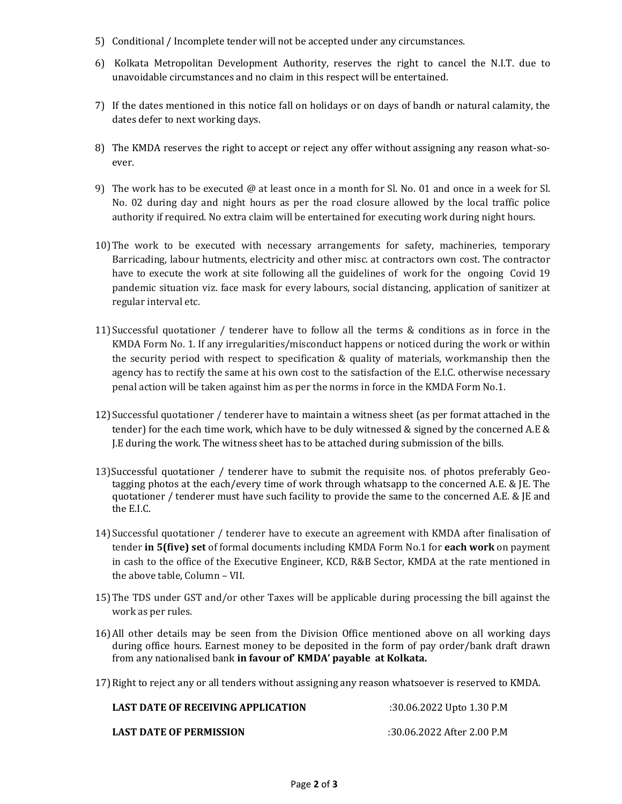- 5) Conditional / Incomplete tender will not be accepted under any circumstances.
- 6) Kolkata Metropolitan Development Authority, reserves the right to cancel the N.I.T. due to unavoidable circumstances and no claim in this respect will be entertained.
- 7) If the dates mentioned in this notice fall on holidays or on days of bandh or natural calamity, the dates defer to next working days.
- 8) The KMDA reserves the right to accept or reject any offer without assigning any reason what-soever.
- 9) The work has to be executed @ at least once in a month for Sl. No. 01 and once in a week for Sl. No. 02 during day and night hours as per the road closure allowed by the local traffic police authority if required. No extra claim will be entertained for executing work during night hours.
- 10)The work to be executed with necessary arrangements for safety, machineries, temporary Barricading, labour hutments, electricity and other misc. at contractors own cost. The contractor have to execute the work at site following all the guidelines of work for the ongoing Covid 19 pandemic situation viz. face mask for every labours, social distancing, application of sanitizer at regular interval etc.
- 11) Successful quotationer / tenderer have to follow all the terms & conditions as in force in the KMDA Form No. 1. If any irregularities/misconduct happens or noticed during the work or within the security period with respect to specification & quality of materials, workmanship then the agency has to rectify the same at his own cost to the satisfaction of the E.I.C. otherwise necessary penal action will be taken against him as per the norms in force in the KMDA Form No.1.
- 12) Successful quotationer / tenderer have to maintain a witness sheet (as per format attached in the tender) for the each time work, which have to be duly witnessed & signed by the concerned A.E & J.E during the work. The witness sheet has to be attached during submission of the bills.
- 13)Successful quotationer / tenderer have to submit the requisite nos. of photos preferably Geotagging photos at the each/every time of work through whatsapp to the concerned A.E. & JE. The quotationer / tenderer must have such facility to provide the same to the concerned A.E. & JE and the E.I.C.
- 14) Successful quotationer / tenderer have to execute an agreement with KMDA after finalisation of tender **in 5(five) set** of formal documents including KMDA Form No.1 for **each work** on payment in cash to the office of the Executive Engineer, KCD, R&B Sector, KMDA at the rate mentioned in the above table, Column – VII.
- 15)The TDS under GST and/or other Taxes will be applicable during processing the bill against the work as per rules.
- 16)All other details may be seen from the Division Office mentioned above on all working days during office hours. Earnest money to be deposited in the form of pay order/bank draft drawn from any nationalised bank **in favour of' KMDA' payable at Kolkata.**
- 17)Right to reject any or all tenders without assigning any reason whatsoever is reserved to KMDA.

| <b>LAST DATE OF RECEIVING APPLICATION</b> | :30.06.2022 Upto 1.30 P.M  |
|-------------------------------------------|----------------------------|
| <b>LAST DATE OF PERMISSION</b>            | :30.06.2022 After 2.00 P.M |